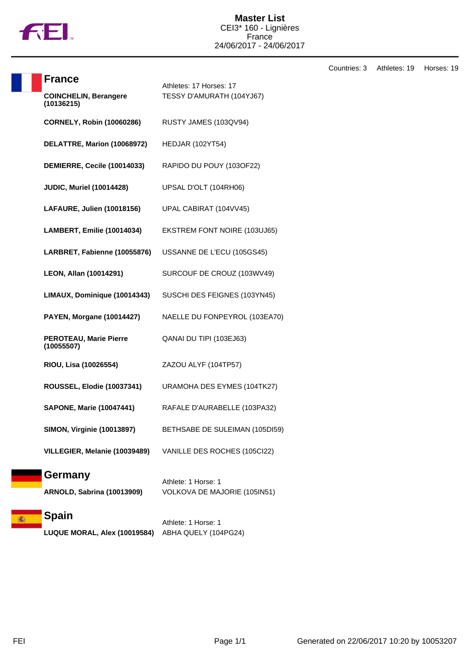

Countries: 3 Athletes: 19 Horses: 19

| <b>France</b>                                | Athletes: 17 Horses: 17                             |
|----------------------------------------------|-----------------------------------------------------|
| <b>COINCHELIN, Berangere</b><br>(10136215)   | TESSY D'AMURATH (104YJ67)                           |
| <b>CORNELY, Robin (10060286)</b>             | RUSTY JAMES (103QV94)                               |
| DELATTRE, Marion (10068972)                  | <b>HEDJAR (102YT54)</b>                             |
| DEMIERRE, Cecile (10014033)                  | RAPIDO DU POUY (103OF22)                            |
| <b>JUDIC, Muriel (10014428)</b>              | UPSAL D'OLT (104RH06)                               |
| LAFAURE, Julien (10018156)                   | UPAL CABIRAT (104VV45)                              |
| <b>LAMBERT, Emilie (10014034)</b>            | EKSTREM FONT NOIRE (103UJ65)                        |
| LARBRET, Fabienne (10055876)                 | USSANNE DE L'ECU (105GS45)                          |
| LEON, Allan (10014291)                       | SURCOUF DE CROUZ (103WV49)                          |
| LIMAUX, Dominique (10014343)                 | SUSCHI DES FEIGNES (103YN45)                        |
| <b>PAYEN, Morgane (10014427)</b>             | NAELLE DU FONPEYROL (103EA70)                       |
| <b>PEROTEAU, Marie Pierre</b><br>(10055507)  | QANAI DU TIPI (103EJ63)                             |
| RIOU, Lisa (10026554)                        | ZAZOU ALYF (104TP57)                                |
| ROUSSEL, Elodie (10037341)                   | URAMOHA DES EYMES (104TK27)                         |
| <b>SAPONE, Marie (10047441)</b>              | RAFALE D'AURABELLE (103PA32)                        |
| <b>SIMON, Virginie (10013897)</b>            | BETHSABE DE SULEIMAN (105DI59)                      |
| VILLEGIER, Melanie (10039489)                | VANILLE DES ROCHES (105Cl22)                        |
| Germany<br><b>ARNOLD, Sabrina (10013909)</b> | Athlete: 1 Horse: 1<br>VOLKOVA DE MAJORIE (105IN51) |
|                                              |                                                     |

#### **Spain** 篇

Athlete: 1 Horse: 1 **LUQUE MORAL, Alex (10019584)** ABHA QUELY (104PG24)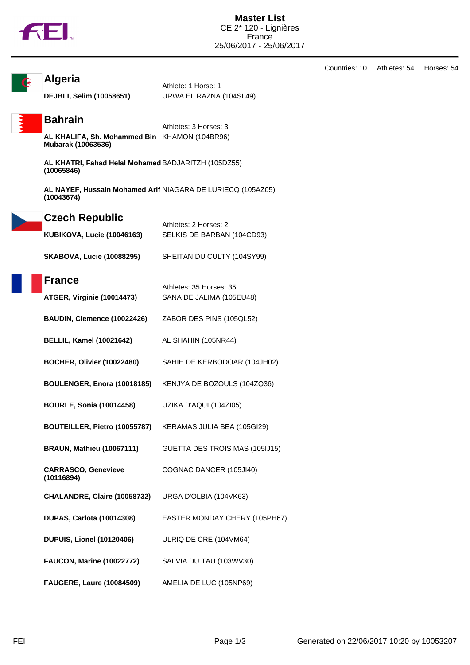

Countries: 10 Athletes: 54 Horses: 54



**Algeria**

Athlete: 1 Horse: 1 **DEJBLI, Selim (10058651)** URWA EL RAZNA (104SL49)

### **Bahrain**

Athletes: 3 Horses: 3 **AL KHALIFA, Sh. Mohammed Bin** KHAMON (104BR96) **Mubarak (10063536)**

**AL KHATRI, Fahad Helal Mohamed** BADJARITZH (105DZ55) **(10065846)**

**AL NAYEF, Hussain Mohamed Arif** NIAGARA DE LURIECQ (105AZ05) **(10043674)**

| <b>Czech Republic</b>             |                            |
|-----------------------------------|----------------------------|
|                                   | Athletes: 2 Horses: 2      |
| <b>KUBIKOVA, Lucie (10046163)</b> | SELKIS DE BARBAN (104CD93) |

| <b>SKABOVA, Lucie (10088295)</b> | SHEITAN DU CULTY (104SY99) |
|----------------------------------|----------------------------|
|                                  |                            |

| France                            | Athletes: 35 Horses: 35  |
|-----------------------------------|--------------------------|
| <b>ATGER, Virginie (10014473)</b> | SANA DE JALIMA (105EU48) |

| BAUDIN, Clemence (10022426) | ZABOR DES PINS (105QL52) |
|-----------------------------|--------------------------|
|-----------------------------|--------------------------|

- **BELLIL, Kamel (10021642)** AL SHAHIN (105NR44)
- **BOCHER, Olivier (10022480)** SAHIH DE KERBODOAR (104JH02)
- **BOULENGER, Enora (10018185)** KENJYA DE BOZOULS (104ZQ36)
- **BOURLE, Sonia (10014458)** UZIKA D'AQUI (104ZI05)
- **BOUTEILLER, Pietro (10055787)** KERAMAS JULIA BEA (105GI29)
- **BRAUN, Mathieu (10067111)** GUETTA DES TROIS MAS (105IJ15)
- **CARRASCO, Genevieve (10116894)** COGNAC DANCER (105JI40)
- **CHALANDRE, Claire (10058732)** URGA D'OLBIA (104VK63)
- **DUPAS, Carlota (10014308)** EASTER MONDAY CHERY (105PH67)
- **DUPUIS, Lionel (10120406)** ULRIQ DE CRE (104VM64)
- **FAUCON, Marine (10022772)** SALVIA DU TAU (103WV30)
- **FAUGERE, Laure (10084509)** AMELIA DE LUC (105NP69)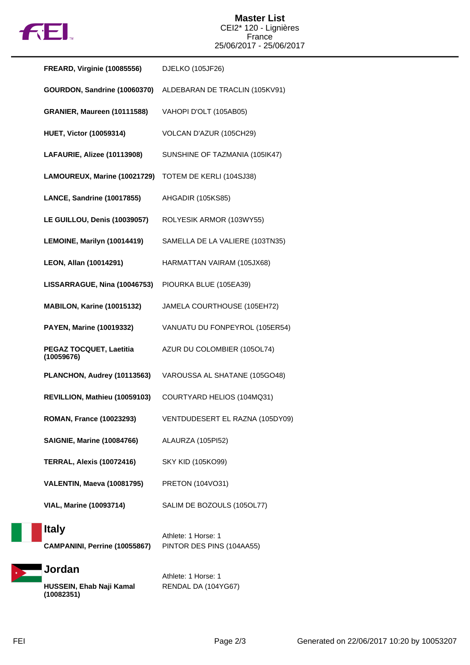

| <b>FREARD, Virginie (10085556)</b>            | DJELKO (105JF26)                                 |
|-----------------------------------------------|--------------------------------------------------|
| GOURDON, Sandrine (10060370)                  | ALDEBARAN DE TRACLIN (105KV91)                   |
| GRANIER, Maureen (10111588)                   | VAHOPI D'OLT (105AB05)                           |
| <b>HUET, Victor (10059314)</b>                | VOLCAN D'AZUR (105CH29)                          |
| LAFAURIE, Alizee (10113908)                   | SUNSHINE OF TAZMANIA (105IK47)                   |
| LAMOUREUX, Marine (10021729)                  | TOTEM DE KERLI (104SJ38)                         |
| LANCE, Sandrine (10017855)                    | AHGADIR (105KS85)                                |
| LE GUILLOU, Denis (10039057)                  | ROLYESIK ARMOR (103WY55)                         |
| LEMOINE, Marilyn (10014419)                   | SAMELLA DE LA VALIERE (103TN35)                  |
| LEON, Allan (10014291)                        | HARMATTAN VAIRAM (105JX68)                       |
| LISSARRAGUE, Nina (10046753)                  | PIOURKA BLUE (105EA39)                           |
| MABILON, Karine (10015132)                    | JAMELA COURTHOUSE (105EH72)                      |
| PAYEN, Marine (10019332)                      | VANUATU DU FONPEYROL (105ER54)                   |
| PEGAZ TOCQUET, Laetitia<br>(10059676)         | AZUR DU COLOMBIER (105OL74)                      |
| PLANCHON, Audrey (10113563)                   | VAROUSSA AL SHATANE (105GO48)                    |
| REVILLION, Mathieu (10059103)                 | COURTYARD HELIOS (104MQ31)                       |
| <b>ROMAN, France (10023293)</b>               | VENTDUDESERT EL RAZNA (105DY09)                  |
| <b>SAIGNIE, Marine (10084766)</b>             | ALAURZA (105PI52)                                |
| <b>TERRAL, Alexis (10072416)</b>              | <b>SKY KID (105KO99)</b>                         |
| VALENTIN, Maeva (10081795)                    | PRETON (104VO31)                                 |
| <b>VIAL, Marine (10093714)</b>                | SALIM DE BOZOULS (105OL77)                       |
| <b>Italy</b><br>CAMPANINI, Perrine (10055867) | Athlete: 1 Horse: 1<br>PINTOR DES PINS (104AA55) |
| Jordan                                        |                                                  |



Athlete: 1 Horse: 1 RENDAL DA (104YG67)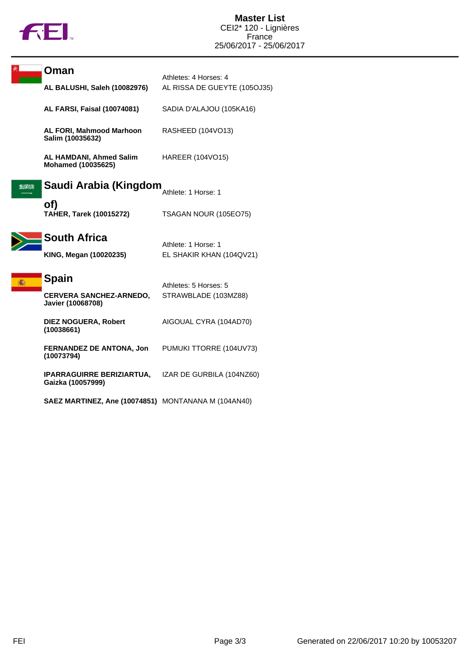

|      | Oman                                                  | Athletes: 4 Horses: 4        |
|------|-------------------------------------------------------|------------------------------|
|      | AL BALUSHI, Saleh (10082976)                          | AL RISSA DE GUEYTE (105OJ35) |
|      | <b>AL FARSI, Faisal (10074081)</b>                    | SADIA D'ALAJOU (105KA16)     |
|      | AL FORI, Mahmood Marhoon<br>Salim (10035632)          | RASHEED (104VO13)            |
|      | <b>AL HAMDANI, Ahmed Salim</b><br>Mohamed (10035625)  | HAREER (104VO15)             |
| 海洋川州 | Saudi Arabia (Kingdom                                 | Athlete: 1 Horse: 1          |
|      | of)<br><b>TAHER, Tarek (10015272)</b>                 | TSAGAN NOUR (105EO75)        |
|      | <b>South Africa</b>                                   | Athlete: 1 Horse: 1          |
|      | KING, Megan (10020235)                                | EL SHAKIR KHAN (104QV21)     |
|      | <b>Spain</b>                                          | Athletes: 5 Horses: 5        |
|      | <b>CERVERA SANCHEZ-ARNEDO,</b><br>Javier (10068708)   | STRAWBLADE (103MZ88)         |
|      | <b>DIEZ NOGUERA, Robert</b><br>(10038661)             | AIGOUAL CYRA (104AD70)       |
|      | <b>FERNANDEZ DE ANTONA, Jon</b><br>(10073794)         | PUMUKI TTORRE (104UV73)      |
|      | <b>IPARRAGUIRRE BERIZIARTUA,</b><br>Gaizka (10057999) | IZAR DE GURBILA (104NZ60)    |
|      | SAEZ MARTINEZ, Ane (10074851) MONTANANA M (104AN40)   |                              |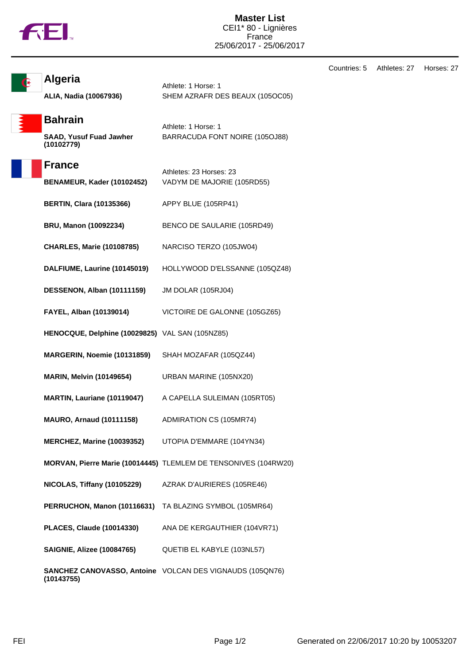

Countries: 5 Athletes: 27 Horses: 27

| <b>Algeria</b> |
|----------------|
|----------------|

**ALIA, Nadia (10067936)** SHEM AZRAFR DES BEAUX (105OC05)

**Bahrain SAAD, Yusuf Fuad Jawher (10102779)**

Athlete: 1 Horse: 1 BARRACUDA FONT NOIRE (105OJ88)

Athlete: 1 Horse: 1

### **France**

| י ומווטט<br>BENAMEUR, Kader (10102452)          | Athletes: 23 Horses: 23<br>VADYM DE MAJORIE (105RD55)           |
|-------------------------------------------------|-----------------------------------------------------------------|
| <b>BERTIN, Clara (10135366)</b>                 | APPY BLUE (105RP41)                                             |
| BRU, Manon (10092234)                           | BENCO DE SAULARIE (105RD49)                                     |
| <b>CHARLES, Marie (10108785)</b>                | NARCISO TERZO (105JW04)                                         |
| DALFIUME, Laurine (10145019)                    | HOLLYWOOD D'ELSSANNE (105QZ48)                                  |
| DESSENON, Alban (10111159)                      | <b>JM DOLAR (105RJ04)</b>                                       |
| FAYEL, Alban (10139014)                         | VICTOIRE DE GALONNE (105GZ65)                                   |
| HENOCQUE, Delphine (10029825) VAL SAN (105NZ85) |                                                                 |
| MARGERIN, Noemie (10131859)                     | SHAH MOZAFAR (105QZ44)                                          |
| <b>MARIN, Melvin (10149654)</b>                 | URBAN MARINE (105NX20)                                          |
| MARTIN, Lauriane (10119047)                     | A CAPELLA SULEIMAN (105RT05)                                    |
| <b>MAURO, Arnaud (10111158)</b>                 | ADMIRATION CS (105MR74)                                         |
| <b>MERCHEZ, Marine (10039352)</b>               | UTOPIA D'EMMARE (104YN34)                                       |
|                                                 | MORVAN, Pierre Marie (10014445) TLEMLEM DE TENSONIVES (104RW20) |
| NICOLAS, Tiffany (10105229)                     | AZRAK D'AURIERES (105RE46)                                      |
| PERRUCHON, Manon (10116631)                     | TA BLAZING SYMBOL (105MR64)                                     |
| <b>PLACES, Claude (10014330)</b>                | ANA DE KERGAUTHIER (104VR71)                                    |
| <b>SAIGNIE, Alizee (10084765)</b>               | QUETIB EL KABYLE (103NL57)                                      |
| (10143755)                                      | <b>SANCHEZ CANOVASSO, Antoine</b> VOLCAN DES VIGNAUDS (105QN76) |